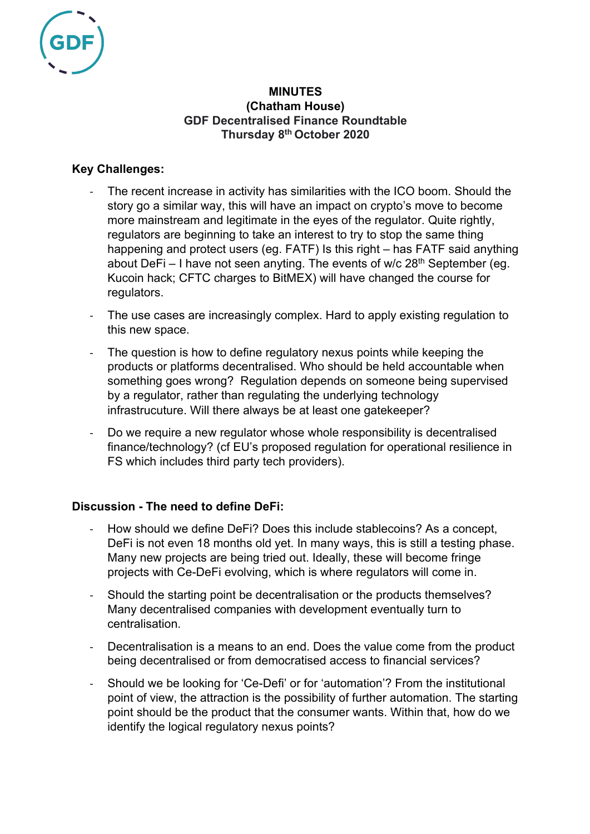

# **MINUTES (Chatham House) GDF Decentralised Finance Roundtable Thursday 8th October 2020**

# **Key Challenges:**

- The recent increase in activity has similarities with the ICO boom. Should the story go a similar way, this will have an impact on crypto's move to become more mainstream and legitimate in the eyes of the regulator. Quite rightly, regulators are beginning to take an interest to try to stop the same thing happening and protect users (eg. FATF) Is this right – has FATF said anything about DeFi – I have not seen anyting. The events of  $w/c 28<sup>th</sup>$  September (eg. Kucoin hack; CFTC charges to BitMEX) will have changed the course for regulators.
- The use cases are increasingly complex. Hard to apply existing regulation to this new space.
- The question is how to define regulatory nexus points while keeping the products or platforms decentralised. Who should be held accountable when something goes wrong? Regulation depends on someone being supervised by a regulator, rather than regulating the underlying technology infrastrucuture. Will there always be at least one gatekeeper?
- Do we require a new requiator whose whole responsibility is decentralised finance/technology? (cf EU's proposed regulation for operational resilience in FS which includes third party tech providers).

# **Discussion - The need to define DeFi:**

- How should we define DeFi? Does this include stablecoins? As a concept, DeFi is not even 18 months old yet. In many ways, this is still a testing phase. Many new projects are being tried out. Ideally, these will become fringe projects with Ce-DeFi evolving, which is where regulators will come in.
- Should the starting point be decentralisation or the products themselves? Many decentralised companies with development eventually turn to centralisation.
- Decentralisation is a means to an end. Does the value come from the product being decentralised or from democratised access to financial services?
- Should we be looking for 'Ce-Defi' or for 'automation'? From the institutional point of view, the attraction is the possibility of further automation. The starting point should be the product that the consumer wants. Within that, how do we identify the logical regulatory nexus points?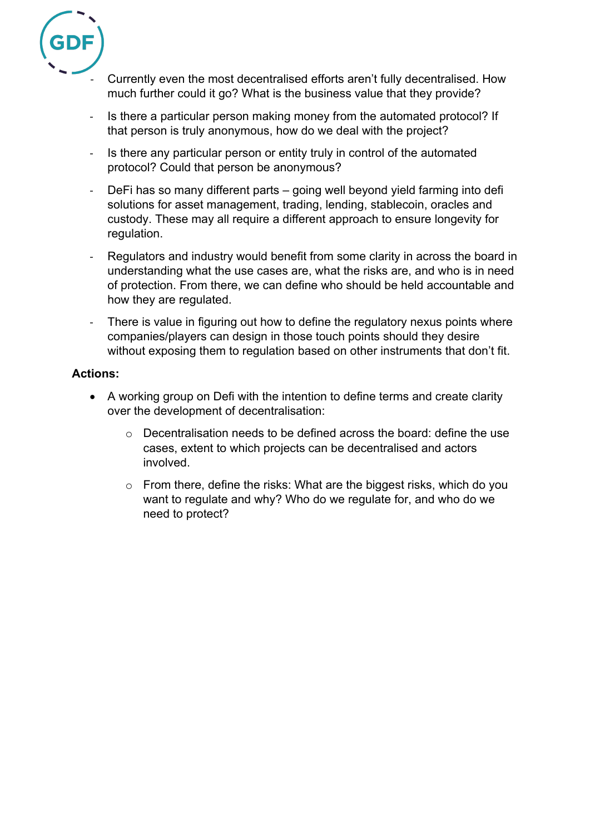

- Currently even the most decentralised efforts aren't fully decentralised. How much further could it go? What is the business value that they provide?
- Is there a particular person making money from the automated protocol? If that person is truly anonymous, how do we deal with the project?
- Is there any particular person or entity truly in control of the automated protocol? Could that person be anonymous?
- DeFi has so many different parts going well beyond yield farming into defi solutions for asset management, trading, lending, stablecoin, oracles and custody. These may all require a different approach to ensure longevity for regulation.
- Regulators and industry would benefit from some clarity in across the board in understanding what the use cases are, what the risks are, and who is in need of protection. From there, we can define who should be held accountable and how they are regulated.
- There is value in figuring out how to define the regulatory nexus points where companies/players can design in those touch points should they desire without exposing them to regulation based on other instruments that don't fit.

# **Actions:**

- A working group on Defi with the intention to define terms and create clarity over the development of decentralisation:
	- $\circ$  Decentralisation needs to be defined across the board: define the use cases, extent to which projects can be decentralised and actors involved.
	- o From there, define the risks: What are the biggest risks, which do you want to regulate and why? Who do we regulate for, and who do we need to protect?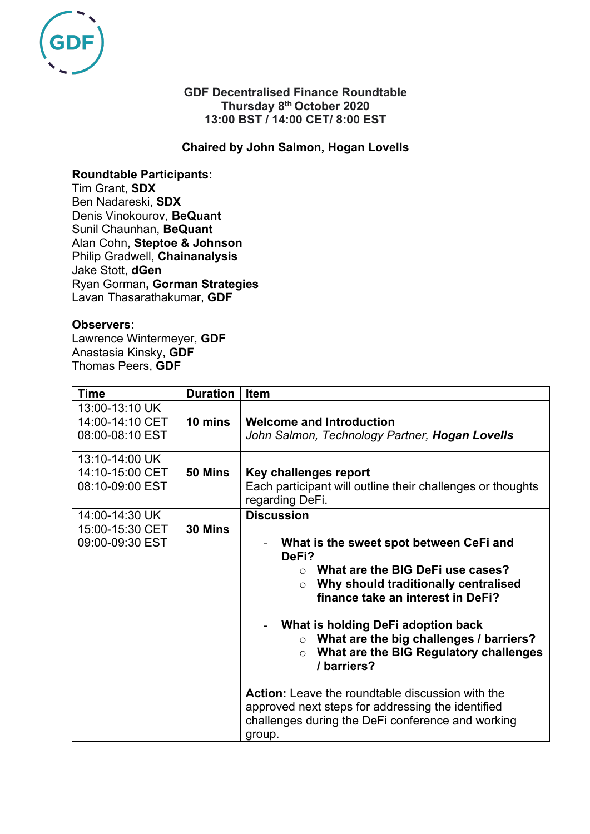

### **GDF Decentralised Finance Roundtable Thursday 8th October 2020 13:00 BST / 14:00 CET/ 8:00 EST**

### **Chaired by John Salmon, Hogan Lovells**

#### **Roundtable Participants:**

Tim Grant, **SDX** Ben Nadareski, **SDX** Denis Vinokourov, **BeQuant** Sunil Chaunhan, **BeQuant** Alan Cohn, **Steptoe & Johnson** Philip Gradwell, **Chainanalysis**  Jake Stott, **dGen** Ryan Gorman**, Gorman Strategies** Lavan Thasarathakumar, **GDF** 

#### **Observers:**

Lawrence Wintermeyer, **GDF** Anastasia Kinsky, **GDF** Thomas Peers, **GDF**

| <b>Time</b>                                          | <b>Duration</b> | <b>Item</b>                                                                                                                                                                                                                                                                                                                                                                                                                                                                                                                                     |
|------------------------------------------------------|-----------------|-------------------------------------------------------------------------------------------------------------------------------------------------------------------------------------------------------------------------------------------------------------------------------------------------------------------------------------------------------------------------------------------------------------------------------------------------------------------------------------------------------------------------------------------------|
| 13:00-13:10 UK<br>14:00-14:10 CET<br>08:00-08:10 EST | 10 mins         | <b>Welcome and Introduction</b><br>John Salmon, Technology Partner, <b>Hogan Lovells</b>                                                                                                                                                                                                                                                                                                                                                                                                                                                        |
| 13:10-14:00 UK<br>14:10-15:00 CET<br>08:10-09:00 EST | 50 Mins         | Key challenges report<br>Each participant will outline their challenges or thoughts<br>regarding DeFi.                                                                                                                                                                                                                                                                                                                                                                                                                                          |
| 14:00-14:30 UK<br>15:00-15:30 CET<br>09:00-09:30 EST | 30 Mins         | <b>Discussion</b><br>What is the sweet spot between CeFi and<br>DeFi?<br>What are the BIG DeFi use cases?<br>$\cap$<br>Why should traditionally centralised<br>$\circ$<br>finance take an interest in DeFi?<br>What is holding DeFi adoption back<br>What are the big challenges / barriers?<br>$\circ$<br>What are the BIG Regulatory challenges<br>$\circ$<br>/barriers?<br><b>Action:</b> Leave the roundtable discussion with the<br>approved next steps for addressing the identified<br>challenges during the DeFi conference and working |